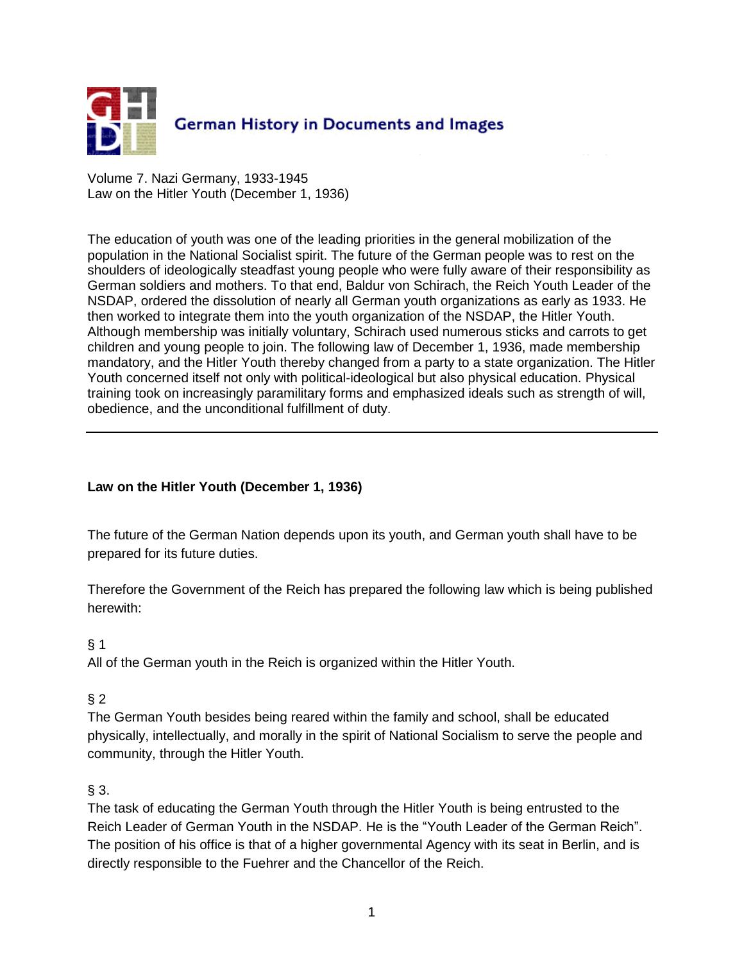

Volume 7. Nazi Germany, 1933-1945 Law on the Hitler Youth (December 1, 1936)

The education of youth was one of the leading priorities in the general mobilization of the population in the National Socialist spirit. The future of the German people was to rest on the shoulders of ideologically steadfast young people who were fully aware of their responsibility as German soldiers and mothers. To that end, Baldur von Schirach, the Reich Youth Leader of the NSDAP, ordered the dissolution of nearly all German youth organizations as early as 1933. He then worked to integrate them into the youth organization of the NSDAP, the Hitler Youth. Although membership was initially voluntary, Schirach used numerous sticks and carrots to get children and young people to join. The following law of December 1, 1936, made membership mandatory, and the Hitler Youth thereby changed from a party to a state organization. The Hitler Youth concerned itself not only with political-ideological but also physical education. Physical training took on increasingly paramilitary forms and emphasized ideals such as strength of will, obedience, and the unconditional fulfillment of duty.

# **Law on the Hitler Youth (December 1, 1936)**

The future of the German Nation depends upon its youth, and German youth shall have to be prepared for its future duties.

Therefore the Government of the Reich has prepared the following law which is being published herewith:

# § 1

All of the German youth in the Reich is organized within the Hitler Youth.

# § 2

The German Youth besides being reared within the family and school, shall be educated physically, intellectually, and morally in the spirit of National Socialism to serve the people and community, through the Hitler Youth.

# $§$  3.

The task of educating the German Youth through the Hitler Youth is being entrusted to the Reich Leader of German Youth in the NSDAP. He is the "Youth Leader of the German Reich". The position of his office is that of a higher governmental Agency with its seat in Berlin, and is directly responsible to the Fuehrer and the Chancellor of the Reich.